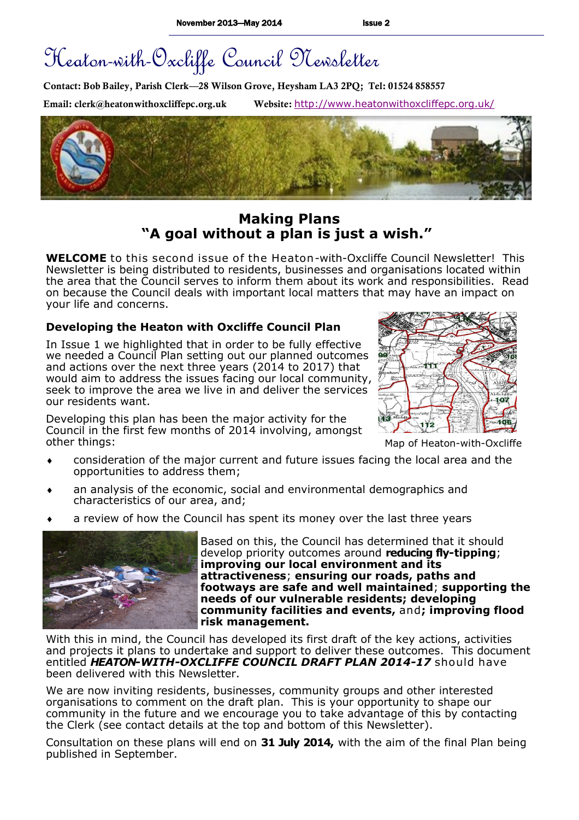# Heaton-with-Oxcliffe Council Newsletter

**Contact: Bob Bailey, Parish Clerk—28 Wilson Grove, Heysham LA3 2PQ; Tel: 01524 858557**

**Email: clerk@heatonwithoxcliffepc.org.uk Website:** <http://www.heatonwithoxcliffepc.org.uk/>



## **Making Plans "A goal without a plan is just a wish."**

**WELCOME** to this second issue of the Heaton-with-Oxcliffe Council Newsletter! This Newsletter is being distributed to residents, businesses and organisations located within the area that the Council serves to inform them about its work and responsibilities. Read on because the Council deals with important local matters that may have an impact on your life and concerns.

#### **Developing the Heaton with Oxcliffe Council Plan**

In Issue 1 we highlighted that in order to be fully effective we needed a Council Plan setting out our planned outcomes and actions over the next three years (2014 to 2017) that would aim to address the issues facing our local community, seek to improve the area we live in and deliver the services our residents want.

Developing this plan has been the major activity for the Council in the first few months of 2014 involving, amongst other things:



Map of Heaton-with-Oxcliffe

- consideration of the major current and future issues facing the local area and the opportunities to address them;
- an analysis of the economic, social and environmental demographics and characteristics of our area, and;
- a review of how the Council has spent its money over the last three years



Based on this, the Council has determined that it should develop priority outcomes around **reducing fly-tipping**; **improving our local environment and its attractiveness**; **ensuring our roads, paths and footways are safe and well maintained**; **supporting the needs of our vulnerable residents; developing community facilities and events,** and**; improving flood risk management.**

With this in mind, the Council has developed its first draft of the key actions, activities and projects it plans to undertake and support to deliver these outcomes. This document entitled *HEATON-WITH-OXCLIFFE COUNCIL DRAFT PLAN 2014-17* should have been delivered with this Newsletter.

We are now inviting residents, businesses, community groups and other interested organisations to comment on the draft plan. This is your opportunity to shape our community in the future and we encourage you to take advantage of this by contacting the Clerk (see contact details at the top and bottom of this Newsletter).

Consultation on these plans will end on **31 July 2014,** with the aim of the final Plan being published in September.